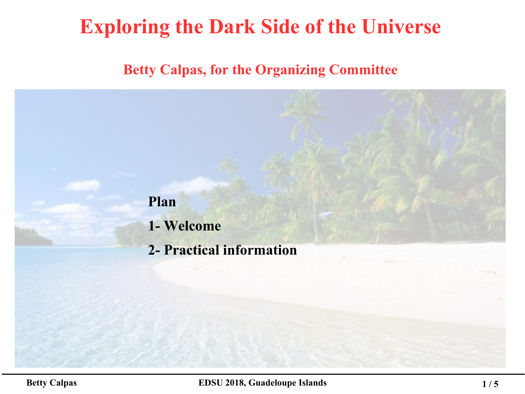## **Exploring the Dark Side of the Universe**

### **Betty Calpas, for the Organizing Committee**

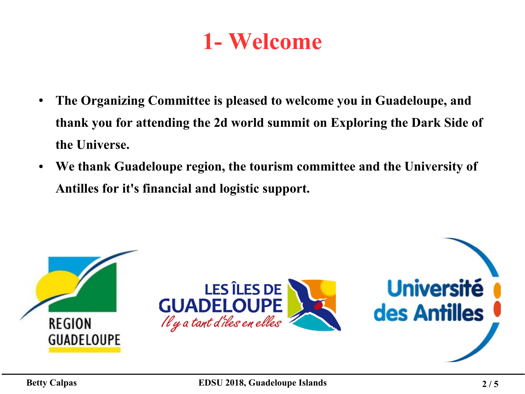# **1- Welcome**

- **The Organizing Committee is pleased to welcome you in Guadeloupe, and thank you for attending the 2d world summit on Exploring the Dark Side of the Universe.**
- **We thank Guadeloupe region, the tourism committee and the University of Antilles for it's financial and logistic support.**

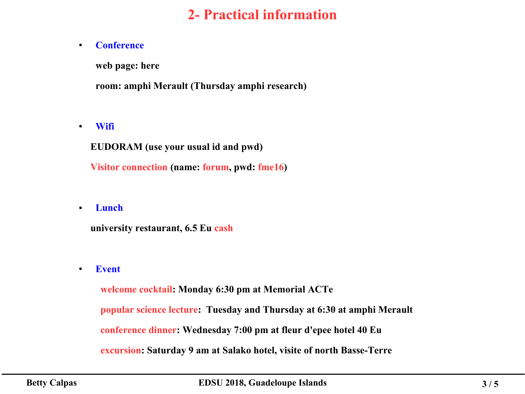## **2- Practical information**

#### ● **Conference**

**web page: [here](https://indico.cern.ch/event/645015/)**

**room: amphi Merault (Thursday amphi research)**

● **Wifi**

 **EUDORAM (use your usual id and pwd)**

 **Visitor connection (name: forum, pwd: fme16)**

● **Lunch**

 **university restaurant, 6.5 Eu cash**

● **Event**

 **welcome cocktail: Monday 6:30 pm at Memorial ACTe popular science lecture: Tuesday and Thursday at 6:30 at amphi Merault conference dinner: Wednesday 7:00 pm at fleur d'epee hotel 40 Eu excursion: Saturday 9 am at Salako hotel, visite of north Basse-Terre**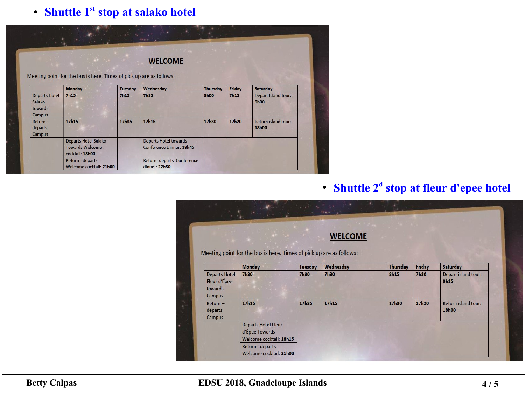### ● **Shuttle 1st stop at salako hotel**

|                                                     | Meeting point for the bus is here. Times of pick up are as follows: |             | <b>WELCOME</b>                                                  |             |             |                                     |
|-----------------------------------------------------|---------------------------------------------------------------------|-------------|-----------------------------------------------------------------|-------------|-------------|-------------------------------------|
|                                                     | <b>Monday</b>                                                       | Tuesday     | Wednesday                                                       | Thursday    | Friday      | Saturday                            |
| <b>Departs Hotel</b><br>Salako<br>towards<br>Campus | <b>7h15</b>                                                         | <b>7h15</b> | <b>7h15</b>                                                     | <b>8h00</b> | <b>7h15</b> | Depart island tour:<br>9h00         |
| Return-<br>departs<br>Campus                        | 17h15                                                               | 17h35       | 17h15                                                           | 17h30       | 17h20       | <b>Return island tour:</b><br>18h00 |
|                                                     | Departs Hotel Salako<br><b>Towards Welcome</b><br>cocktail: 18h00   |             | <b>Departs Hotel towards</b><br><b>Conference Dinner: 18h45</b> |             |             |                                     |
|                                                     | Return - departs<br>Welcome cocktail: 21h00                         |             | Return-departs Conference<br>dinner: 22h30                      |             |             |                                     |

#### ● **Shuttle 2<sup>d</sup> stop at fleur d'epee hotel**

| <b>WELCOME</b><br>Meeting point for the bus is here. Times of pick up are as follows: |                                                                         |                |             |                 |             |                                     |  |  |  |
|---------------------------------------------------------------------------------------|-------------------------------------------------------------------------|----------------|-------------|-----------------|-------------|-------------------------------------|--|--|--|
|                                                                                       | <b>Monday</b>                                                           | <b>Tuesday</b> | Wednesday   | <b>Thursday</b> | Friday      | <b>Saturday</b>                     |  |  |  |
| <b>Departs Hotel</b><br>Fleur d'Épee<br>towards<br>Campus                             | <b>7h30</b>                                                             | <b>7h30</b>    | <b>7h30</b> | <b>8h15</b>     | <b>7h30</b> | Depart island tour:<br>9h15         |  |  |  |
| $Return -$<br>departs<br>Campus                                                       | 17h15                                                                   | 17h35          | 17h15       | 17h30           | 17h20       | Return island tour:<br><b>18h00</b> |  |  |  |
|                                                                                       | <b>Departs Hotel Fleur</b><br>d'Épee Towards<br>Welcome cocktail: 18h15 |                |             |                 |             |                                     |  |  |  |
|                                                                                       | Return - departs<br>Welcome cocktail: 21h00                             |                |             |                 |             |                                     |  |  |  |